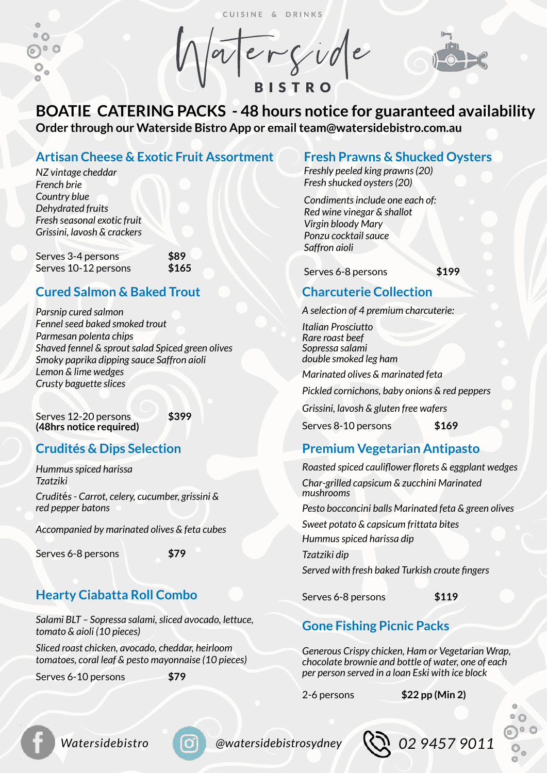CUISINE & DRINKS

 $\mathfrak{S}$  $^{\circ}$   $^{\circ}$  $\odot$ °  $\circ$  $\circ$ o

**BISTRO** 



# **BOATIE CATERING PACKS - 48 hours notice for guaranteed availability Order through our Waterside Bistro App or email team@watersidebistro.com.au**

### **Artisan Cheese & Exotic Fruit Assortment**

*NZ vintage cheddar French brie Country blue Dehydrated fruits Fresh seasonal exotic fruit Grissini, lavosh & crackers* 

Serves 3-4 persons **\$89** Serves 10-12 persons **\$165**

## **Cured Salmon & Baked Trout**

*Parsnip cured salmon Fennel seed baked smoked trout Parmesan polenta chips Shaved fennel & sprout salad Spiced green olives Smoky paprika dipping sauce Saffron aioli Lemon & lime wedges Crusty baguette slices* 

Serves 12-20 persons **\$399 (48hrs notice required)**

# **Crudités & Dips Selection**

*Hummus spiced harissa Tzatziki Crudit*é*s - Carrot, celery, cucumber, grissini & red pepper batons* 

*Accompanied by marinated olives & feta cubes* 

Serves 6-8 persons **\$79** 

# **Hearty Ciabatta Roll Combo**

*Salami BLT – Sopressa salami, sliced avocado, lettuce, tomato & aioli (10 pieces)* 

*Sliced roast chicken, avocado, cheddar, heirloom tomatoes, coral leaf & pesto mayonnaise (10 pieces)* 

Serves 6-10 persons **\$79** 

### **Fresh Prawns & Shucked Oysters**

*Freshly peeled king prawns (20) Fresh shucked oysters (20)* 

*Condiments include one each of: Red wine vinegar & shallot Virgin bloody Mary Ponzu cocktail sauce Saffron aioli* 

Serves 6-8 persons **\$199** 

## **Charcuterie Collection**

*A selection of 4 premium charcuterie:* 

*Italian Prosciutto Rare roast beef Sopressa salami double smoked leg ham* 

*Marinated olives & marinated feta* 

*Pickled cornichons, baby onions & red peppers* 

*Grissini, lavosh & gluten free wafers* 

Serves 8-10 persons **\$169**

## **Premium Vegetarian Antipasto**

*Roasted spiced cauliflower florets & eggplant wedges Char-grilled capsicum & zucchini Marinated mushrooms* 

*Pesto bocconcini balls Marinated feta & green olives* 

*Sweet potato & capsicum frittata bites* 

*Hummus spiced harissa dip* 

*Tzatziki dip* 

*Served with fresh baked Turkish croute fingers* 

Serves 6-8 persons **\$119**

# **Gone Fishing Picnic Packs**

*Generous Crispy chicken, Ham or Vegetarian Wrap, chocolate brownie and bottle of water, one of each per person served in a loan Eski with ice block* 

2-6 persons **\$22 pp (Min 2)**